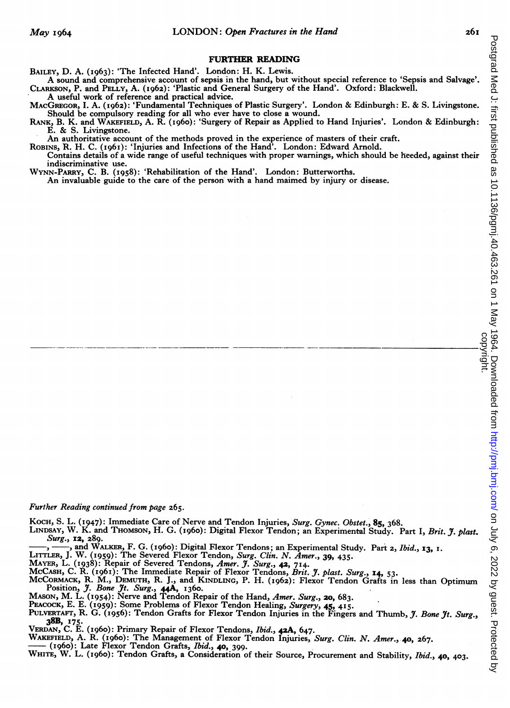#### **FURTHER READING**

BAILEY, D. A. (I963): 'The Infected Hand'. London: H. K. Lewis.

- A sound and comprehensive account of sepsis in the hand, but without special reference to 'Sepsis and Salvage'. CLARKSON, P. and PELLY, A. (I962): 'Plastic and General Surgery of the Hand'. Oxford: Blackwell. A useful work of reference and practical advice.
- MACGREGOR, I. A. (I962): 'Fundamental Techniques of Plastic Surgery'. London & Edinburgh: E. & S. Livingstone. Should be compulsory reading for all who ever have to close a wound.
- RANK, B. K. and WAKEFIELD, A. R. (I960): 'Surgery of Repair as Applied to Hand Injuries'. London & Edinburgh: E. & S. Livingstone.

An authoritative account of the methods proved in the experience of masters of their craft.

- ROBINS, R. H. C. (I96I): 'Injuries and Infections of the Hand'. London: Edward Arnold.
- Contains details of a wide range of useful techniques with proper warnings, which should be heeded, against their indiscriminative use.

WYNN-PARRY, C. B. (1958): 'Rehabilitation of the Hand'. London: Butterworths. An invaluable guide to the care of the person with <sup>a</sup> hand maimed by injury or disease.

Further Reading continued from page 265.

KOCH, S. L. (1947): Immediate Care of Nerve and Tendon Injuries, Surg. Gynec. Obstet., 85, 368.

- LINDSAY, W. K. and THOMSON, H. G. (1960): Digital Flexor Tendon; an Experimental Study. Part I, Brit. 7, plast. Surg., I2, 289.
- and WALKER, F. G. (I960): Digital Flexor Tendons; an Experimental Study. Part 2, Ibid., I3, I.
- LITTLER, J. W. (1959): The Severed Flexor Tendon, Surg. Clin. N. Amer., 39, 435.
- MAYER, L. (1938): Repair of Severed Tendons, Amer. J. Surg., 42, 714.
- MCCASH, C. R. (1961): The Immediate Repair of Flexor Tendons, *Brit. 3. plast. Surg.*, 14, 53.
- McCORMACK, R. M., DEMUTH, R. J., and KINDLING, P. H. (1962): Flexor Tendon Grafts in less than Optimum<br>Position, *J. Bone Jt. Surg.*, 44A, 1360. Position, *y. Bone 7t. Surg.*, 44A, 1360.<br>MASON, M. L. (1954): Nerve and Tendon Repair of the Hand, *Amer. Surg.*, 20, 683.
- 
- PEACOCK, E. E. (1959): Some Problems of Flexor Tendon Healing, Surgery, 45, 415.
- PULVERTAFT, R. G. (1956): Tendon Grafts for Flexor Tendon Injuries in the Fingers and Thumb, J. Bone It. Surg., 38B, 175
- VERDAN, C. E. (1960): Primary Repair of Flexor Tendons, Ibid., 42A, 647.
- WAKEFIELD, A. R. (1960): The Management of Flexor Tendon Injuries, Surg. Clin. N. Amer., 40, 267.<br>--- (1960): Late Flexor Tendon Grafts, Ibid., 40, 399.
- 
- WHITE, W. L. (1960): Tendon Grafts, a Consideration of their Source, Procurement and Stability, Ibid., 40, 403.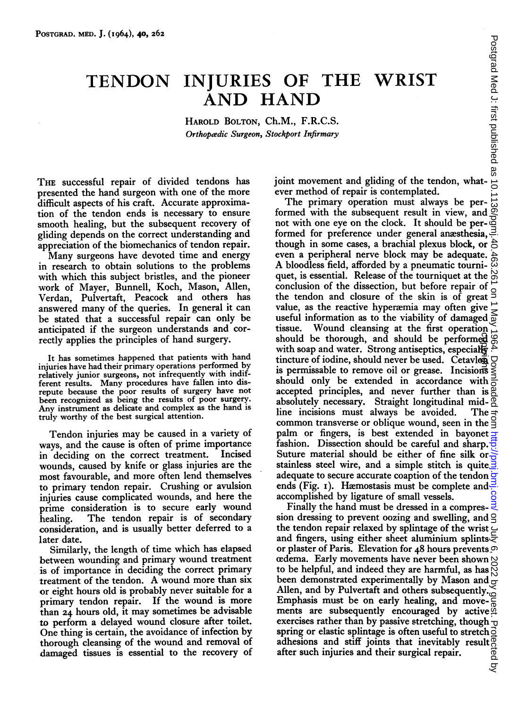# TENDON INJURIES OF THE WRIST AND HAND formed with the subsequent result in view, and

HAROLD BOLTON, Ch.M., F.R.C.S. Orthopaedic Surgeon, Stockport Infirmary

THE successful repair of divided tendons has presented the hand surgeon with one of the more difficult aspects of his craft. Accurate approximation of the tendon ends is necessary to ensure smooth healing, but the subsequent recovery of gliding depends on the correct understanding and appreciation of the biomechanics of tendon repair.

Many surgeons have devoted time and energy in research to obtain solutions to the problems with which this subject bristles, and the pioneer work of Mayer, Bunnell, Koch, Mason, Allen, Verdan, Pulvertaft, Peacock and others has answered many of the queries. In general it can be stated that a successful repair can only be anticipated if the surgeon understands and correctly applies the principles of hand surgery.

It has sometimes happened that patients with hand injuries have had their primary operations performed by relatively junior surgeons, not infrequently with indifferent results. Many procedures have fallen into disrepute because the poor results of surgery have not been recognized as being the results of poor surgery. Any instrument as delicate and complex as the hand is truly worthy of the best surgical attention.

Tendon injuries may be caused in a variety of ways, and the cause is often of prime importance in deciding on the correct treatment. Incised wounds, caused by knife or glass injuries are the most favourable, and more often lend themselves to primary tendon repair. Crushing or avulsion injuries cause complicated wounds, and here the prime consideration is to secure early wound healing. The tendon repair is of secondary consideration, and is usually better deferred to a later date.

Similarly, the length of time which has elapsed between wounding and primary wound treatment is of importance in deciding the correct primary treatment of the tendon. A wound more than six or eight hours old is probably never suitable for a primary tendon repair. If the wound is more than 24 hours old, it may sometimes be advisable to perform a delayed wound closure after toilet. One thing is certain, the avoidance of infection by thorough cleansing of the wound and removal of damaged tissues is essential to the recovery of joint movement and gliding of the tendon, whatever method of repair is contemplated.

The primary operation must always be pernot with one eye on the clock. It should be per- $\frac{1}{2}$  formed for preference under general anasthesia. formed for preference under general anæsthesia, though in some cases, a brachial plexus block, or  $\uparrow$ even a peripheral nerve block may be adequate. A bloodless field, afforded by a pneumatic tourni-  $\infty$ quet, is essential. Release of the tourniquet at the  $\frac{1}{2}$ conclusion of the dissection, but before repair of the tendon and closure of the skin is of great value, as the reactive hyperaemia may often give useful information as to the viability of damaged  $\frac{1}{p}$ tissue. Wound cleansing at the first operation should be thorough, and should be performed  $\overline{\mathfrak{D}}$ with soap and water. Strong antiseptics, especially tincture of iodine, should never be used. Cetavlon C is permissable to remove oil or grease. Incisions should only be extended in accordance with accepted principles, and never further than is absolutely necessary. Straight longitudinal midline incisions must always be avoided. The common transverse or oblique wound, seen in the palm or fingers, is best extended in bayonet fashion. Dissection should be careful and sharp. Suture material should be either of fine silk or  $\geq$ stainless steel wire, and a simple stitch is quite  $\frac{3}{5}$ adequate to secure accurate coaption of the tendon  $\sigma$ ends (Fig. 1). Hæmostasis must be complete and  $\frac{3}{5}$ . accomplished by ligature of small vessels. copyright.

Finally the hand must be dressed in a compres- $\overline{\overline{z}}$ sion dressing to prevent oozing and swelling, and  $\triangleleft$ the tendon repair relaxed by splintage of the wrist  $\subseteq$ and fingers, using either sheet aluminium splints $\bar{z}$ or plaster of Paris. Elevation for 48 hours prevents cedema. Early movements have never been shown to be helpful, and indeed they are harmful, as has been demonstrated experimentally by Mason and  $\overline{g}$ Allen, and by Pulvertaft and others subsequently. Emphasis must be on early healing, and movements are subsequently encouraged by active  $\frac{36}{2}$ exercises rather than by passive stretching, though  $\overline{u}$ spring or elastic splintage is often useful to stretch  $\vec{o}$ adhesions and stiff joints that inevitably result  $\overline{g}$ after such injuries and their surgical repair. ë,

ङ्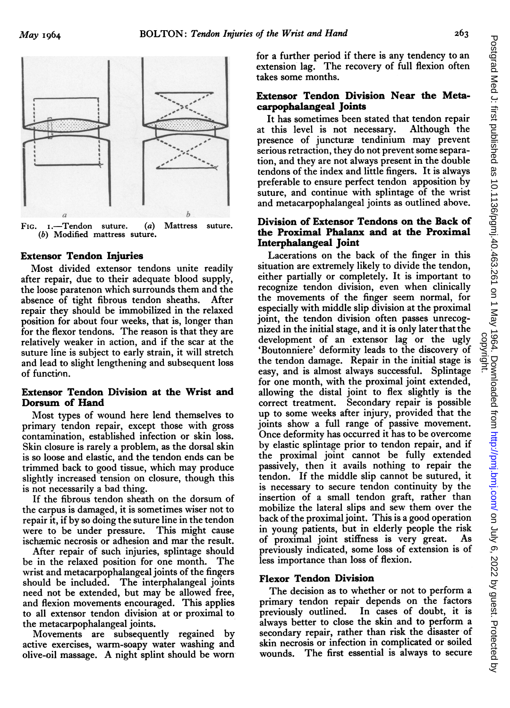







### Extensor Tendon Injuries

Most divided extensor tendons unite readily after repair, due to their adequate blood supply, the loose paratenon which surrounds them and the<br>absence of tight fibrous tendon sheaths. After absence of tight fibrous tendon sheaths. repair they should be immobilized in the relaxed position for about four weeks, that is, longer than for the flexor tendons. The reason is that they are relatively weaker in action, and if the scar at the suture line is subject to early strain, it will stretch and lead to slight lengthening and subsequent loss of function.

#### Extensor Tendon Division at the Wrist and Dorsum of Hand

Most types of wound here lend themselves to primary tendon repair, except those with gross contamination, established infection or skin loss. Skin closure is rarely <sup>a</sup> problem, as the dorsal skin is so loose and elastic, and the tendon ends can be trimmed back to good tissue, which may produce slightly increased tension on closure, though this is not necessarily <sup>a</sup> bad thing.

If the fibrous tendon sheath on the dorsum of the carpus is damaged, it is sometimes wiser not to repair it, if by so doing the suture line in the tendon were to be under pressure. ischaemic necrosis or adhesion and mar the result.

After repair of such injuries, splintage should be in the relaxed position for one month. The wrist and metacarpophalangeal joints of the fingers should be included. The interphalangeal joints need not be extended, but may be allowed free, and flexion movements encouraged. This applies to all extensor tendon division at or proximal to the metacarpophalangeal joints.

Movements are subsequently regained by active exercises, warm-soapy water washing and olive-oil massage. A night splint should be worn

for <sup>a</sup> further period if there is any tendency to an extension lag. The recovery of full flexion often takes some months.

## Extensor Tendon Division Near the Metacarpophalangeal Joints

It has sometimes been stated that tendon repair<br>this level is not necessary. Although the at this level is not necessary. presence of juncturae tendinium may prevent serious retraction, they do not prevent some separation, and they are not always present in the double tendons of the index and little fingers. It is always preferable to ensure perfect tendon apposition by suture, and continue with splintage of the wrist and metacarpophalangeal joints as outlined above.

## Division of Extensor Tendons on the Back of the Proximal Phalanx and at the Proximal Interphalangeal Joint

Lacerations on the back of the finger in this situation are extremely likely to divide the tendon, either partially or completely. It is important to recognize tendon division, even when clinically the movements of the finger seem normal, for especially with middle slip division at the proximal joint, the tendon division often passes unrecognized in the initial stage, and it is only later that the development of an extensor lag or the ugly 'Boutonniere' deformity leads to the discovery of the tendon damage. Repair in the initial stage is easy, and is almost always successful. Splintage for one month, with the proximal joint extended, allowing the distal joint to flex slightly is the correct treatment. Secondary repair is possible up to some weeks after injury, provided that the joints show <sup>a</sup> full range of passive movement. Once deformity has occurred it has to be overcome by elastic splintage prior to tendon repair, and if the proximal joint cannot be fully extended passively, then it avails nothing to repair the tendon. If the middle slip cannot be sutured, it is necessary to secure tendon continuity by the insertion of <sup>a</sup> small tendon graft, rather than mobilize the lateral slips and sew them over the back of the proximal joint. This is <sup>a</sup> good operation in young patients, but in elderly people the risk<br>of proximal joint stiffness is very great. As of proximal joint stiffness is very great. previously indicated, some loss of extension is of less importance than loss of flexion.

# Flexor Tendon Division

The decision as to whether or not to perform <sup>a</sup> primary tendon repair depends on the factors<br>previously outlined. In cases of doubt, it is In cases of doubt, it is always better to close the skin and to perform <sup>a</sup> secondary repair, rather than risk the disaster of skin necrosis or infection in complicated or soiled wounds. The first essential is always to secure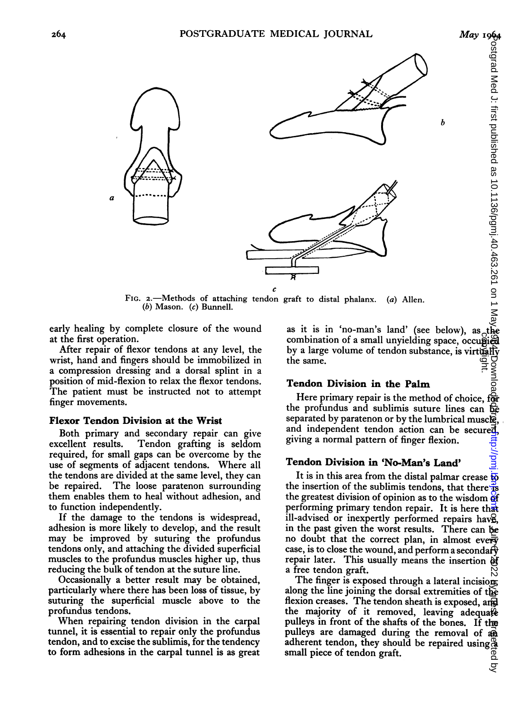b



FIG. 2.-Methods of attaching tendon graft to distal phalanx. (a) Allen. (b) Mason. (c) Bunnell.

early healing by complete closure of the wound at the first operation.

After repair of flexor tendons at any level, the wrist, hand and fingers should be immobilized in <sup>a</sup> compression dressing and <sup>a</sup> dorsal splint in <sup>a</sup> position of mid-flexion to relax the flexor tendons. The patient must be instructed not to attempt finger movements.

#### Flexor Tendon Division at the Wrist

Both primary and secondary repair can give<br>excellent results. Tendon grafting is seldom Tendon grafting is seldom required, for small gaps can be overcome by the use of segments of adjacent tendons. Where all the tendons are divided at the same level, they can be repaired. The loose paratenon surrounding them enables them to heal without adhesion, and to function independently.

If the damage to the tendons is widespread, adhesion is more likely to develop, and the result may be improved by suturing the profundus tendons only, and attaching the divided superficial muscles to the profundus muscles higher up, thus reducing the bulk of tendon at the suture line.

Occasionally <sup>a</sup> better result may be obtained, particularly where there has been loss of tissue, by suturing the superficial muscle above to the profundus tendons.

When repairing tendon division in the carpal tunnel, it is essential to repair only the profundus tendon, and to excise the sublimis, for the tendency to form adhesions in the carpal tunnel is as great as it is in 'no-man's land' (see below), as the combination of a small unyielding space, occupied<br>by a large volume of tendon substance, is virtually<br>the same. by a large volume of tendon substance, is virtually<br>the same.<br> $\begin{array}{c}\n\bigoplus \text{C} \\
\vdots \quad \text{C} \\
\vdots \quad \text{D} \\
\vdots \quad \text{S}\n\end{array}$ 

# Tendon Division in the Palm

Here primary repair is the method of choice, for the profundus and sublimis suture lines can be separated by paratenon or by the lumbrical muscle. and independent tendon action can be secured, giving <sup>a</sup> normal pattern of finger flexion.

#### Tendon Division in 'No-Man's Land'

It is in this area from the distal palmar crease  $\bar{a}$ the insertion of the sublimis tendons, that there is the greatest division of opinion as to the wisdom  $\delta f$ performing primary tendon repair. It is here that<br>ill-advised or inexpertly performed repairs have in the past given the worst results. There can be no doubt that the correct plan, in almost every case, is to close the wound, and perform a secondary repair later. This usually means the insertion of a free tendon graft. on July 19, 19, 2022 by guest. Protected as 10.1136/pmj.com/published Application on 1 May 1962. Bostgrad Med Jished as 10.1136/pgmj. Postgrad Med Jished to Douglas 10.1367. By guest. Downloaded from the model of the mode

The finger is exposed through a lateral incision, along the line joining the dorsal extremities of the flexion creases. The tendon sheath is exposed, and the majority of it removed, leaving adequate pulleys in front of the shafts of the bones. If the pulleys are damaged during the removal of an adherent tendon, they should be repaired using  $\frac{a}{\dot{\beta}}$  small piece of tendon graft. small piece of tendon graft.

న్గ్